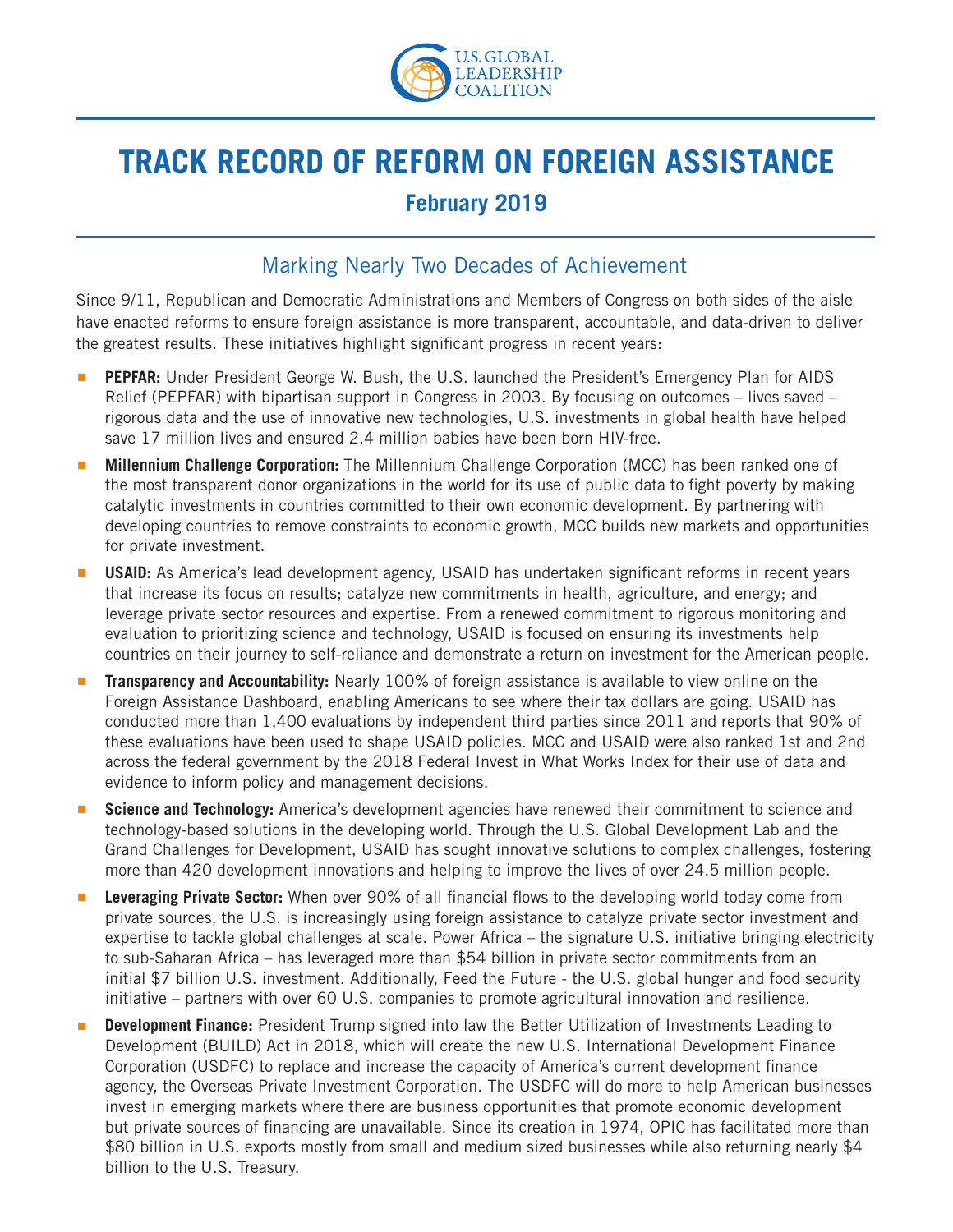

## **TRACK RECORD OF REFORM ON FOREIGN ASSISTANCE February 2019**

## Marking Nearly Two Decades of Achievement

Since 9/11, Republican and Democratic Administrations and Members of Congress on both sides of the aisle have enacted reforms to ensure foreign assistance is more transparent, accountable, and data-driven to deliver the greatest results. These initiatives highlight significant progress in recent years:

- PEPFAR: Under President George W. Bush, the U.S. launched the President's Emergency Plan for AIDS Relief (PEPFAR) with bipartisan support in Congress in 2003. By focusing on outcomes – lives saved – rigorous data and the use of innovative new technologies, U.S. investments in global health have helped save 17 million lives and ensured 2.4 million babies have been born HIV-free.
- **Millennium Challenge Corporation:** The Millennium Challenge Corporation (MCC) has been ranked one of the most transparent donor organizations in the world for its use of public data to fight poverty by making catalytic investments in countries committed to their own economic development. By partnering with developing countries to remove constraints to economic growth, MCC builds new markets and opportunities for private investment.
- **USAID:** As America's lead development agency, USAID has undertaken significant reforms in recent years that increase its focus on results; catalyze new commitments in health, agriculture, and energy; and leverage private sector resources and expertise. From a renewed commitment to rigorous monitoring and evaluation to prioritizing science and technology, USAID is focused on ensuring its investments help countries on their journey to self-reliance and demonstrate a return on investment for the American people.
- **Transparency and Accountability:** Nearly 100% of foreign assistance is available to view online on the Foreign Assistance Dashboard, enabling Americans to see where their tax dollars are going. USAID has conducted more than 1,400 evaluations by independent third parties since 2011 and reports that 90% of these evaluations have been used to shape USAID policies. MCC and USAID were also ranked 1st and 2nd across the federal government by the 2018 Federal Invest in What Works Index for their use of data and evidence to inform policy and management decisions.
- **Science and Technology:** America's development agencies have renewed their commitment to science and technology-based solutions in the developing world. Through the U.S. Global Development Lab and the Grand Challenges for Development, USAID has sought innovative solutions to complex challenges, fostering more than 420 development innovations and helping to improve the lives of over 24.5 million people.
- Leveraging Private Sector: When over 90% of all financial flows to the developing world today come from private sources, the U.S. is increasingly using foreign assistance to catalyze private sector investment and expertise to tackle global challenges at scale. Power Africa – the signature U.S. initiative bringing electricity to sub-Saharan Africa – has leveraged more than \$54 billion in private sector commitments from an initial \$7 billion U.S. investment. Additionally, Feed the Future - the U.S. global hunger and food security initiative – partners with over 60 U.S. companies to promote agricultural innovation and resilience.
- **Development Finance:** President Trump signed into law the Better Utilization of Investments Leading to Development (BUILD) Act in 2018, which will create the new U.S. International Development Finance Corporation (USDFC) to replace and increase the capacity of America's current development finance agency, the Overseas Private Investment Corporation. The USDFC will do more to help American businesses invest in emerging markets where there are business opportunities that promote economic development but private sources of financing are unavailable. Since its creation in 1974, OPIC has facilitated more than \$80 billion in U.S. exports mostly from small and medium sized businesses while also returning nearly \$4 billion to the U.S. Treasury.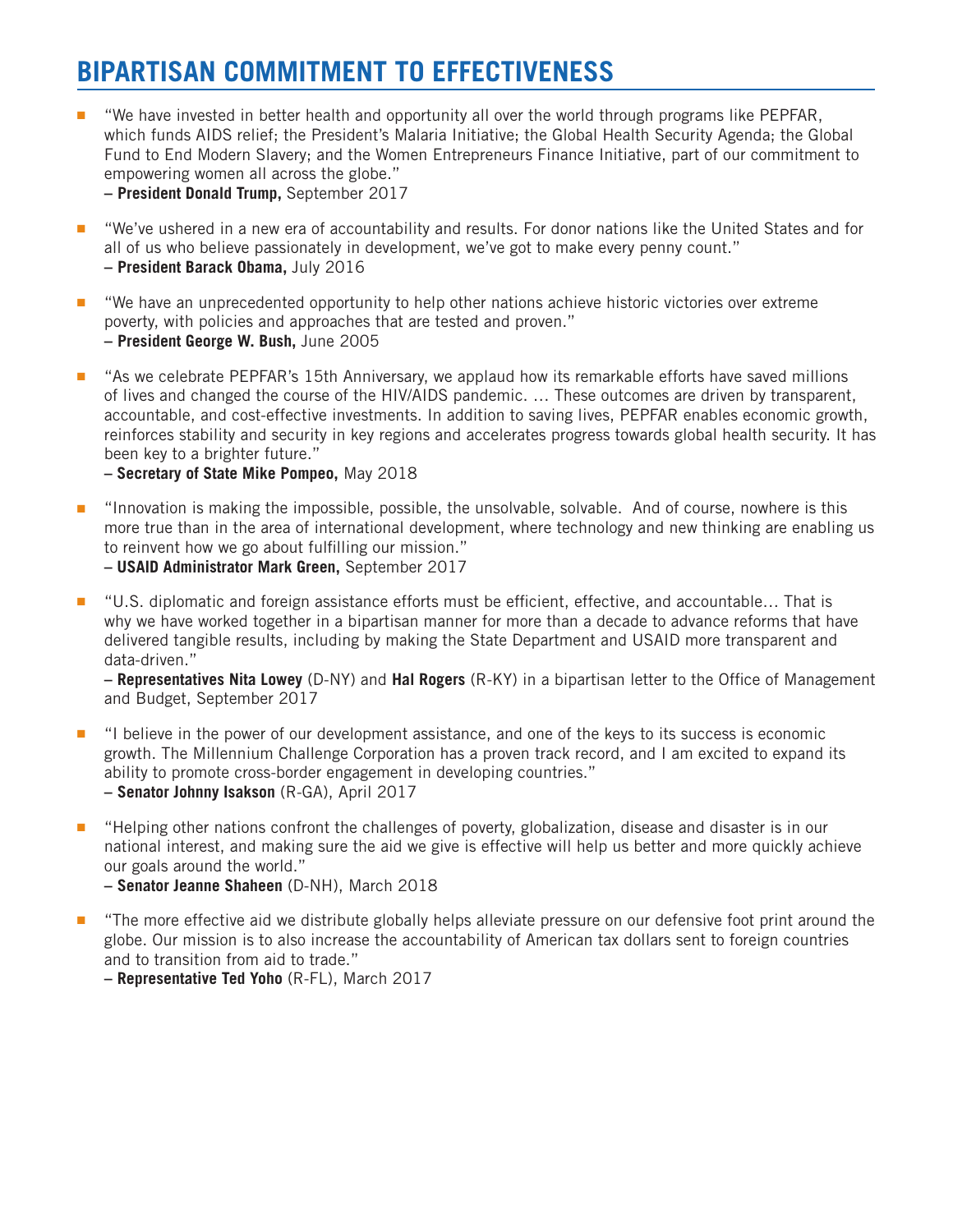## **BIPARTISAN COMMITMENT TO EFFECTIVENESS**

"We have invested in better health and opportunity all over the world through programs like PEPFAR, which funds AIDS relief; the President's Malaria Initiative; the Global Health Security Agenda; the Global Fund to End Modern Slavery; and the Women Entrepreneurs Finance Initiative, part of our commitment to empowering women all across the globe."

**– President Donald Trump,** September 2017

- "We've ushered in a new era of accountability and results. For donor nations like the United States and for all of us who believe passionately in development, we've got to make every penny count." **– President Barack Obama,** July 2016
- "We have an unprecedented opportunity to help other nations achieve historic victories over extreme poverty, with policies and approaches that are tested and proven." **– President George W. Bush,** June 2005
- "As we celebrate PEPFAR's 15th Anniversary, we applaud how its remarkable efforts have saved millions of lives and changed the course of the HIV/AIDS pandemic. … These outcomes are driven by transparent, accountable, and cost-effective investments. In addition to saving lives, PEPFAR enables economic growth, reinforces stability and security in key regions and accelerates progress towards global health security. It has been key to a brighter future."
	- **Secretary of State Mike Pompeo,** May 2018
- "Innovation is making the impossible, possible, the unsolvable, solvable. And of course, nowhere is this more true than in the area of international development, where technology and new thinking are enabling us to reinvent how we go about fulfilling our mission."

**– USAID Administrator Mark Green,** September 2017

■ "U.S. diplomatic and foreign assistance efforts must be efficient, effective, and accountable... That is why we have worked together in a bipartisan manner for more than a decade to advance reforms that have delivered tangible results, including by making the State Department and USAID more transparent and data-driven."

**– Representatives Nita Lowey** (D-NY) and **Hal Rogers** (R-KY) in a bipartisan letter to the Office of Management and Budget, September 2017

- "I believe in the power of our development assistance, and one of the keys to its success is economic growth. The Millennium Challenge Corporation has a proven track record, and I am excited to expand its ability to promote cross-border engagement in developing countries." **– Senator Johnny Isakson** (R-GA), April 2017
- "Helping other nations confront the challenges of poverty, globalization, disease and disaster is in our national interest, and making sure the aid we give is effective will help us better and more quickly achieve our goals around the world."
	- **– Senator Jeanne Shaheen** (D-NH), March 2018
- "The more effective aid we distribute globally helps alleviate pressure on our defensive foot print around the globe. Our mission is to also increase the accountability of American tax dollars sent to foreign countries and to transition from aid to trade."

**– Representative Ted Yoho** (R-FL), March 2017